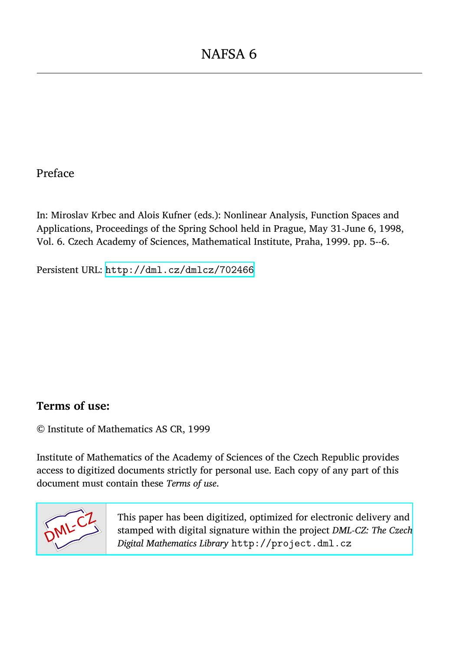## Preface

In: Miroslav Krbec and Alois Kufner (eds.): Nonlinear Analysis, Function Spaces and Applications, Proceedings of the Spring School held in Prague, May 31-June 6, 1998, Vol. 6. Czech Academy of Sciences, Mathematical Institute, Praha, 1999. pp. 5--6.

Persistent URL: <http://dml.cz/dmlcz/702466>

## **Terms of use:**

© Institute of Mathematics AS CR, 1999

Institute of Mathematics of the Academy of Sciences of the Czech Republic provides access to digitized documents strictly for personal use. Each copy of any part of this document must contain these *Terms of use*.



[This paper has been digitized, optimized for electronic delivery and](http://project.dml.cz) stamped with digital signature within the project *DML-CZ: The Czech Digital Mathematics Library* http://project.dml.cz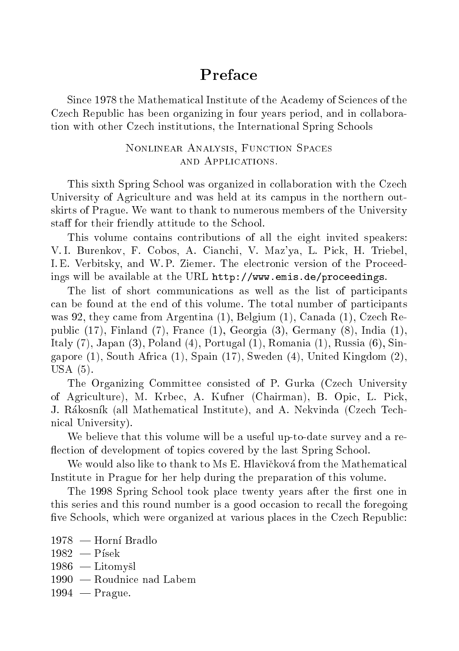## Preface

Since 1978 the Mathematical Institute of the Academy of Sciences of the Czech Republic has been organizing in four years period, and in collaboration with other Czech institutions, the International Spring Schools

## Nonlinear Analysis, Function Spaces and Applications.

This sixth Spring School was organized in collaboration with the Czech University of Agriculture and was held at its campus in the northern outskirts of Prague. We want to thank to numerous members of the University staff for their friendly attitude to the School.

This volume contains contributions of all the eight invited speakers: V. I. Burenkov, F. Cobos, A. Cianchi, V. Maz'ya, L. Pick, H. Triebel, I. E. Verbitsky, and W. P. Ziemer. The electronic version of the Proceedings will be available at the URL http://www.emis.de/proceedings.

The list of short communications as well as the list of participants can be found at the end of this volume. The total number of participants was 92, they came from Argentina (1), Belgium (1), Canada (1), Czech Republic (17), Finland (7), France (1), Georgia (3), Germany (8), India (1), Italy (7), Japan (3), Poland (4), Portugal (1), Romania (1), Russia (6), Singapore (1), South Africa (1), Spain (17), Sweden (4), United Kingdom (2), USA (5).

The Organizing Committee consisted of P. Gurka (Czech University of Agriculture), M. Krbec, A. Kufner (Chairman), B. Opic, L. Pick, J. Rákosník (all Mathematical Institute), and A. Nekvinda (Czech Technical University).

We believe that this volume will be a useful up-to-date survey and a re flection of development of topics covered by the last Spring School.

We would also like to thank to Ms E. Hlavičková from the Mathematical Institute in Prague for her help during the preparation of this volume.

The 1998 Spring School took place twenty years after the first one in this series and this round number is a good occasion to recall the foregoing five Schools, which were organized at various places in the Czech Republic:

- $1978 -$ Horní Bradlo  $1982 - P$ ísek  $1986$  - Litomyšl  $1990 -$ Roudnice nad Labem
- $1994 -$ Prague.